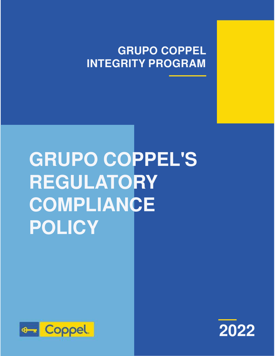## **GRUPO COPPEL INTEGRITY PROGRAM**

# **GRUPO COPPEL'S REGULATORY COMPLIANCE POLICY**